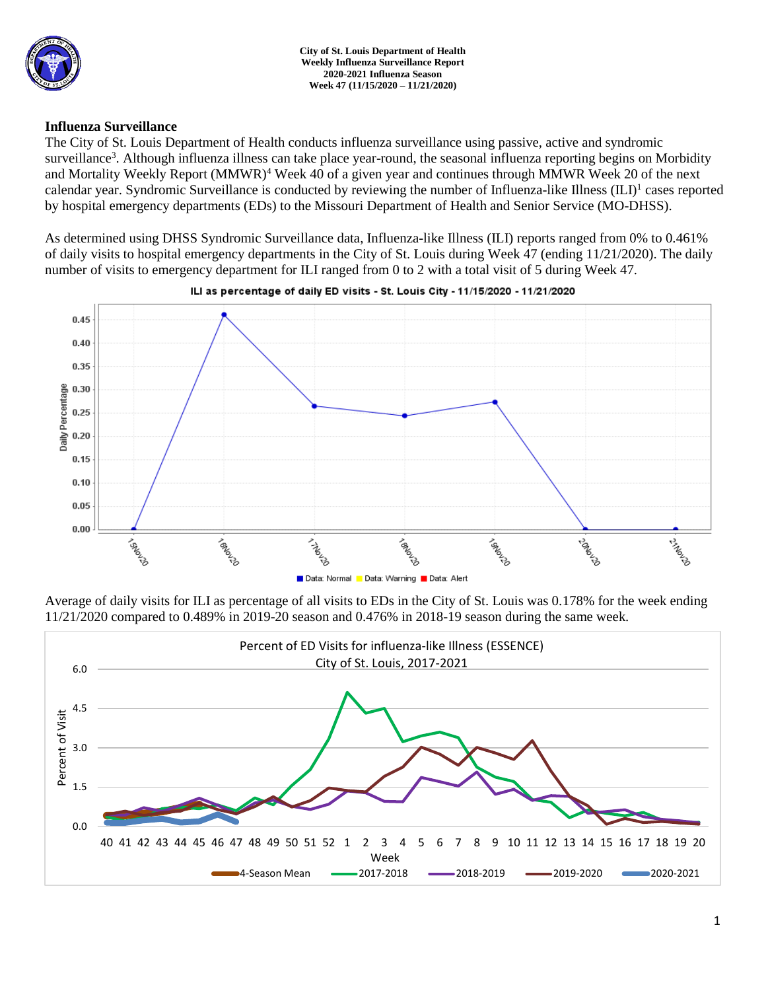

**City of St. Louis Department of Health Weekly Influenza Surveillance Report 2020-2021 Influenza Season Week 47 (11/15/2020 – 11/21/2020)**

## **Influenza Surveillance**

The City of St. Louis Department of Health conducts influenza surveillance using passive, active and syndromic surveillance<sup>3</sup>. Although influenza illness can take place year-round, the seasonal influenza reporting begins on Morbidity and Mortality Weekly Report (MMWR)<sup>4</sup> Week 40 of a given year and continues through MMWR Week 20 of the next calendar year. Syndromic Surveillance is conducted by reviewing the number of Influenza-like Illness (ILI)<sup>1</sup> cases reported by hospital emergency departments (EDs) to the Missouri Department of Health and Senior Service (MO-DHSS).

As determined using DHSS Syndromic Surveillance data, Influenza-like Illness (ILI) reports ranged from 0% to 0.461% of daily visits to hospital emergency departments in the City of St. Louis during Week 47 (ending 11/21/2020). The daily number of visits to emergency department for ILI ranged from 0 to 2 with a total visit of 5 during Week 47.



#### ILI as percentage of daily ED visits - St. Louis City - 11/15/2020 - 11/21/2020

Average of daily visits for ILI as percentage of all visits to EDs in the City of St. Louis was 0.178% for the week ending 11/21/2020 compared to 0.489% in 2019-20 season and 0.476% in 2018-19 season during the same week.

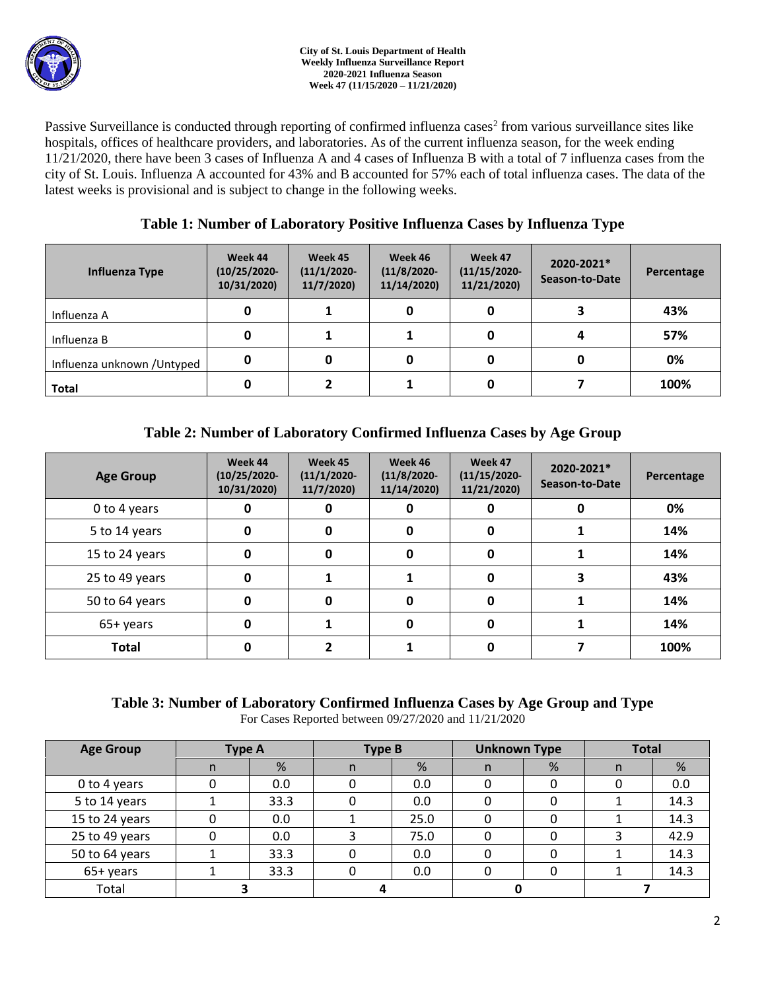Passive Surveillance is conducted through reporting of confirmed influenza cases<sup>2</sup> from various surveillance sites like hospitals, offices of healthcare providers, and laboratories. As of the current influenza season, for the week ending 11/21/2020, there have been 3 cases of Influenza A and 4 cases of Influenza B with a total of 7 influenza cases from the city of St. Louis. Influenza A accounted for 43% and B accounted for 57% each of total influenza cases. The data of the latest weeks is provisional and is subject to change in the following weeks.

# **Table 1: Number of Laboratory Positive Influenza Cases by Influenza Type**

| Influenza Type              | Week 44<br>$(10/25/2020 -$<br>10/31/2020) | Week 45<br>$(11/1/2020 -$<br>11/7/2020 | Week 46<br>$(11/8/2020 -$<br>11/14/2020) | Week 47<br>$(11/15/2020 -$<br>11/21/2020) | 2020-2021*<br>Season-to-Date | Percentage |
|-----------------------------|-------------------------------------------|----------------------------------------|------------------------------------------|-------------------------------------------|------------------------------|------------|
| Influenza A                 | 0                                         |                                        | 0                                        |                                           |                              | 43%        |
| Influenza B                 | 0                                         |                                        |                                          |                                           |                              | 57%        |
| Influenza unknown / Untyped | 0                                         |                                        | 0                                        |                                           |                              | 0%         |
| <b>Total</b>                | 0                                         |                                        |                                          |                                           |                              | 100%       |

# **Table 2: Number of Laboratory Confirmed Influenza Cases by Age Group**

| <b>Age Group</b> | Week 44<br>$(10/25/2020 -$<br>10/31/2020) | Week 45<br>$(11/1/2020 -$<br>11/7/2020) | Week 46<br>$(11/8/2020 -$<br>11/14/2020) | Week 47<br>$(11/15/2020 -$<br>11/21/2020) | 2020-2021*<br>Season-to-Date | Percentage |
|------------------|-------------------------------------------|-----------------------------------------|------------------------------------------|-------------------------------------------|------------------------------|------------|
| 0 to 4 years     |                                           | O                                       | 0                                        |                                           |                              | 0%         |
| 5 to 14 years    | 0                                         | O                                       | 0                                        | 0                                         |                              | 14%        |
| 15 to 24 years   | 0                                         | 0                                       | 0                                        | 0                                         |                              | 14%        |
| 25 to 49 years   | 0                                         |                                         |                                          | 0                                         |                              | 43%        |
| 50 to 64 years   | 0                                         | <sup>0</sup>                            | 0                                        | 0                                         |                              | 14%        |
| 65+ years        | 0                                         |                                         | 0                                        | 0                                         |                              | 14%        |
| <b>Total</b>     |                                           |                                         |                                          |                                           |                              | 100%       |

### **Table 3: Number of Laboratory Confirmed Influenza Cases by Age Group and Type** For Cases Reported between 09/27/2020 and 11/21/2020

| <b>Age Group</b> | <b>Type A</b> |      | <b>Type B</b> |      | <b>Unknown Type</b> |   | <b>Total</b> |      |
|------------------|---------------|------|---------------|------|---------------------|---|--------------|------|
|                  | n             | %    | n             | %    | n.                  | % | n            | %    |
| 0 to 4 years     | 0             | 0.0  |               | 0.0  |                     |   |              | 0.0  |
| 5 to 14 years    |               | 33.3 |               | 0.0  |                     |   |              | 14.3 |
| 15 to 24 years   |               | 0.0  |               | 25.0 |                     |   |              | 14.3 |
| 25 to 49 years   |               | 0.0  |               | 75.0 |                     |   |              | 42.9 |
| 50 to 64 years   |               | 33.3 |               | 0.0  |                     |   |              | 14.3 |
| 65+ years        |               | 33.3 |               | 0.0  |                     |   |              | 14.3 |
| Total            |               |      |               |      |                     |   |              |      |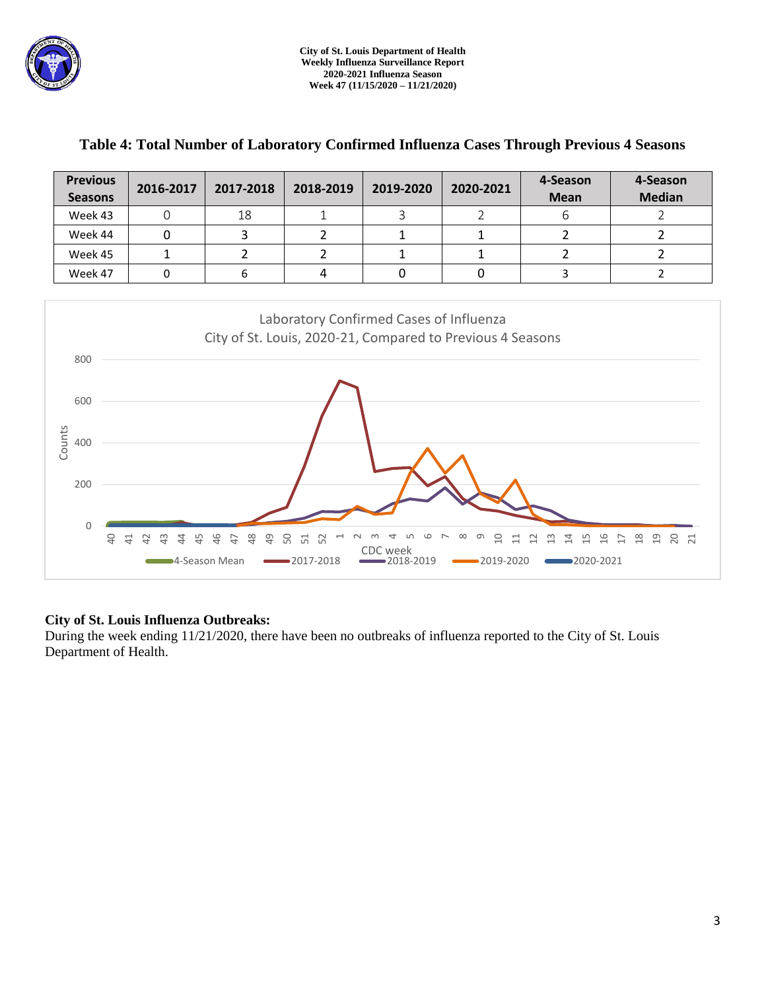

| <b>Previous</b><br><b>Seasons</b> | 2016-2017 | 2017-2018 | 2018-2019 | 2019-2020 | 2020-2021 | 4-Season<br><b>Mean</b> | 4-Season<br><b>Median</b> |
|-----------------------------------|-----------|-----------|-----------|-----------|-----------|-------------------------|---------------------------|
| Week 43                           |           | 18        |           |           |           | b                       |                           |
| Week 44                           |           |           |           |           |           |                         |                           |
| Week 45                           |           |           |           |           |           |                         |                           |
| Week 47                           |           |           | 4         |           |           |                         |                           |

# **Table 4: Total Number of Laboratory Confirmed Influenza Cases Through Previous 4 Seasons**



# **City of St. Louis Influenza Outbreaks:**

During the week ending 11/21/2020, there have been no outbreaks of influenza reported to the City of St. Louis Department of Health.